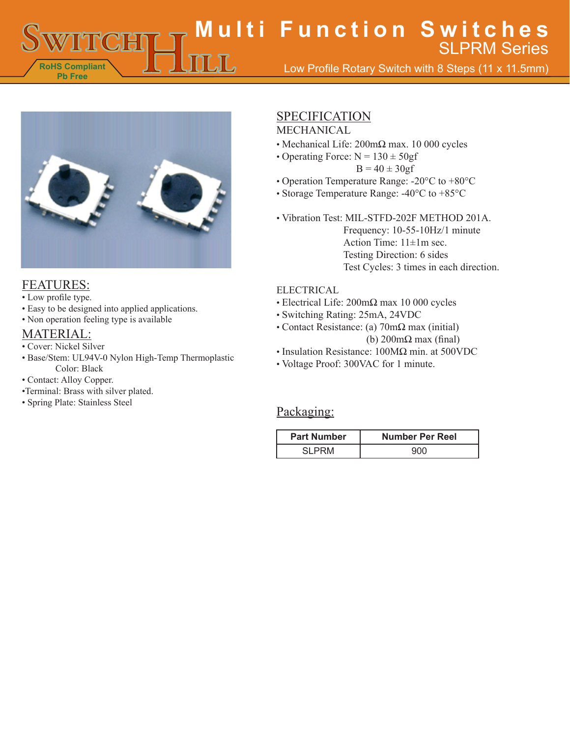**RoHS Compliant Pb Free Multi Function Switches** Low Profile Rotary Switch with 8 Steps (11 x 11.5mm) SLPRM Series



#### FEATURES:

- Low profile type.
- Easy to be designed into applied applications.
- Non operation feeling type is available

### MATERIAL:

- Cover: Nickel Silver
- Base/Stem: UL94V-0 Nylon High-Temp Thermoplastic Color: Black
- Contact: Alloy Copper.
- •Terminal: Brass with silver plated.
- Spring Plate: Stainless Steel

# **SPECIFICATION**

### MECHANICAL

- Mechanical Life: 200mΩ max. 10 000 cycles
- Operating Force:  $N = 130 \pm 50gf$ 
	- $B = 40 \pm 30gf$
- Operation Temperature Range: -20°C to +80°C
- Storage Temperature Range: -40°C to +85°C

• Vibration Test: MIL-STFD-202F METHOD 201A. Frequency: 10-55-10Hz/1 minute Action Time: 11±1m sec. Testing Direction: 6 sides Test Cycles: 3 times in each direction.

#### ELECTRICAL

- Electrical Life: 200mΩ max 10 000 cycles
- Switching Rating: 25mA, 24VDC
- Contact Resistance: (a) 70mΩ max (initial) (b) 200mΩ max (final)
- Insulation Resistance: 100MΩ min. at 500VDC
- Voltage Proof: 300VAC for 1 minute.

## Packaging:

| <b>Part Number</b> | <b>Number Per Reel</b> |
|--------------------|------------------------|
|                    |                        |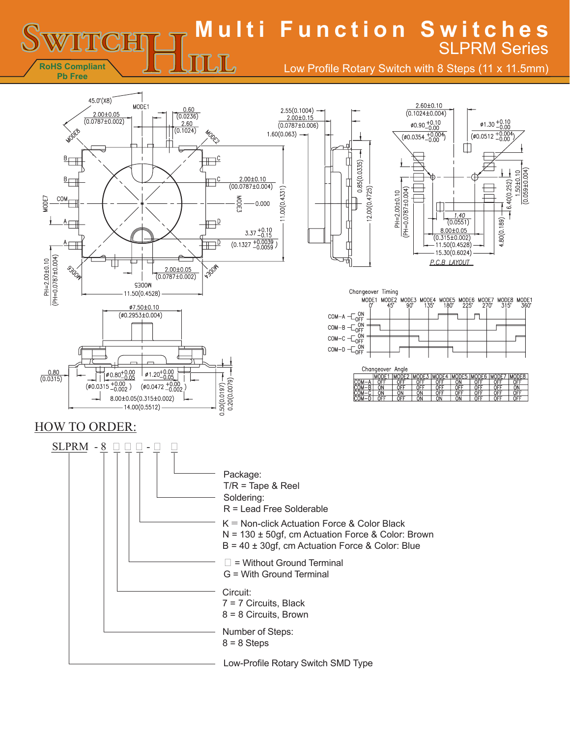**Multi Function Switches** SLPRM Series $\mathbb{L} \mathbb{L}$ 

Low Profile Rotary Switch with 8 Steps (11 x 11.5mm)



**RoHS Compliant**

**ENTR**